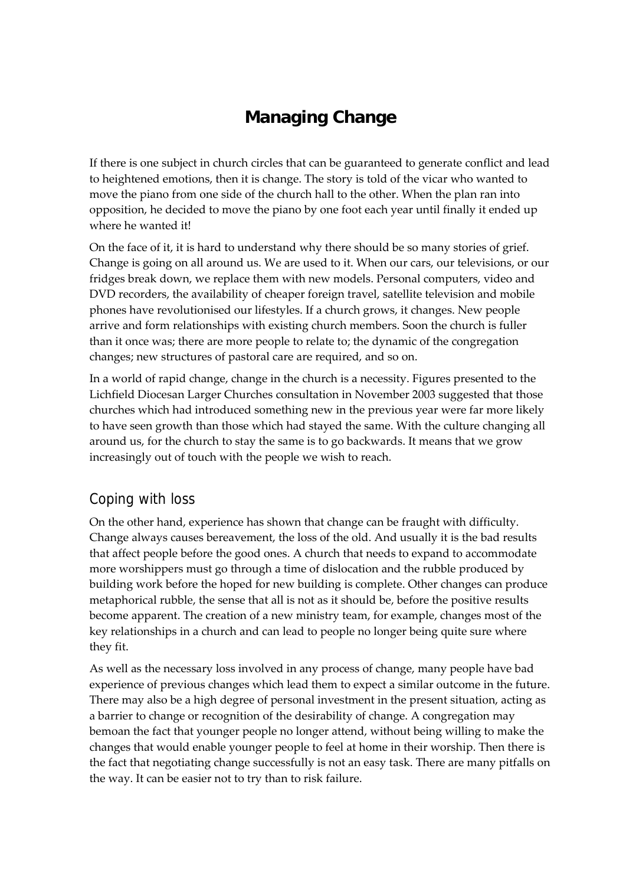## **Managing Change**

If there is one subject in church circles that can be guaranteed to generate conflict and lead to heightened emotions, then it is change. The story is told of the vicar who wanted to move the piano from one side of the church hall to the other. When the plan ran into opposition, he decided to move the piano by one foot each year until finally it ended up where he wanted it!

On the face of it, it is hard to understand why there should be so many stories of grief. Change is going on all around us. We are used to it. When our cars, our televisions, or our fridges break down, we replace them with new models. Personal computers, video and DVD recorders, the availability of cheaper foreign travel, satellite television and mobile phones have revolutionised our lifestyles. If a church grows, it changes. New people arrive and form relationships with existing church members. Soon the church is fuller than it once was; there are more people to relate to; the dynamic of the congregation changes; new structures of pastoral care are required, and so on.

In a world of rapid change, change in the church is a necessity. Figures presented to the Lichfield Diocesan Larger Churches consultation in November 2003 suggested that those churches which had introduced something new in the previous year were far more likely to have seen growth than those which had stayed the same. With the culture changing all around us, for the church to stay the same is to go backwards. It means that we grow increasingly out of touch with the people we wish to reach.

## Coping with loss

On the other hand, experience has shown that change can be fraught with difficulty. Change always causes bereavement, the loss of the old. And usually it is the bad results that affect people before the good ones. A church that needs to expand to accommodate more worshippers must go through a time of dislocation and the rubble produced by building work before the hoped for new building is complete. Other changes can produce metaphorical rubble, the sense that all is not as it should be, before the positive results become apparent. The creation of a new ministry team, for example, changes most of the key relationships in a church and can lead to people no longer being quite sure where they fit.

As well as the necessary loss involved in any process of change, many people have bad experience of previous changes which lead them to expect a similar outcome in the future. There may also be a high degree of personal investment in the present situation, acting as a barrier to change or recognition of the desirability of change. A congregation may bemoan the fact that younger people no longer attend, without being willing to make the changes that would enable younger people to feel at home in their worship. Then there is the fact that negotiating change successfully is not an easy task. There are many pitfalls on the way. It can be easier not to try than to risk failure.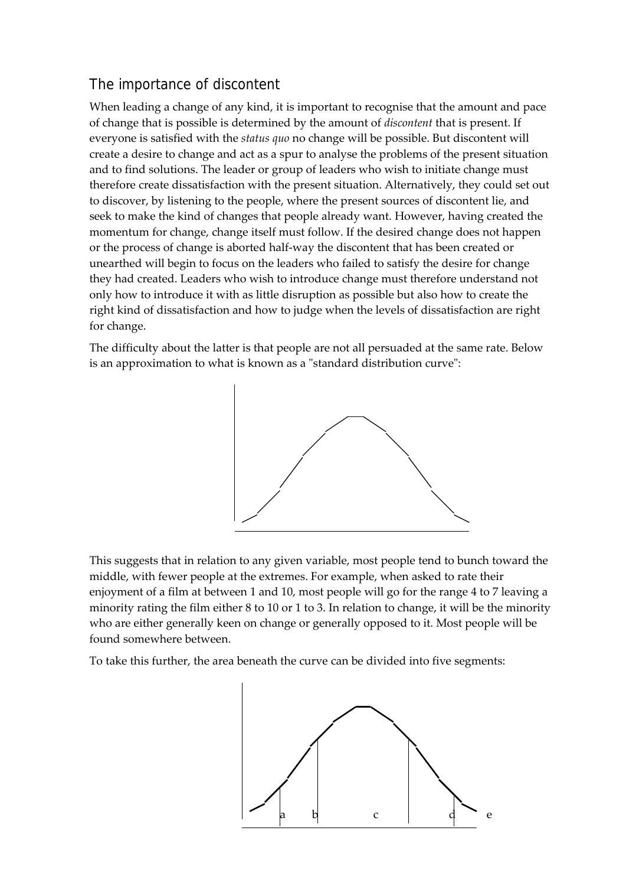## The importance of discontent

When leading a change of any kind, it is important to recognise that the amount and pace of change that is possible is determined by the amount of *discontent* that is present. If everyone is satisfied with the *status quo* no change will be possible. But discontent will create a desire to change and act as a spur to analyse the problems of the present situation and to find solutions. The leader or group of leaders who wish to initiate change must therefore create dissatisfaction with the present situation. Alternatively, they could set out to discover, by listening to the people, where the present sources of discontent lie, and seek to make the kind of changes that people already want. However, having created the momentum for change, change itself must follow. If the desired change does not happen or the process of change is aborted half‐way the discontent that has been created or unearthed will begin to focus on the leaders who failed to satisfy the desire for change they had created. Leaders who wish to introduce change must therefore understand not only how to introduce it with as little disruption as possible but also how to create the right kind of dissatisfaction and how to judge when the levels of dissatisfaction are right for change.

The difficulty about the latter is that people are not all persuaded at the same rate. Below is an approximation to what is known as a "standard distribution curve":



This suggests that in relation to any given variable, most people tend to bunch toward the middle, with fewer people at the extremes. For example, when asked to rate their enjoyment of a film at between 1 and 10, most people will go for the range 4 to 7 leaving a minority rating the film either 8 to 10 or 1 to 3. In relation to change, it will be the minority who are either generally keen on change or generally opposed to it. Most people will be found somewhere between.

To take this further, the area beneath the curve can be divided into five segments:

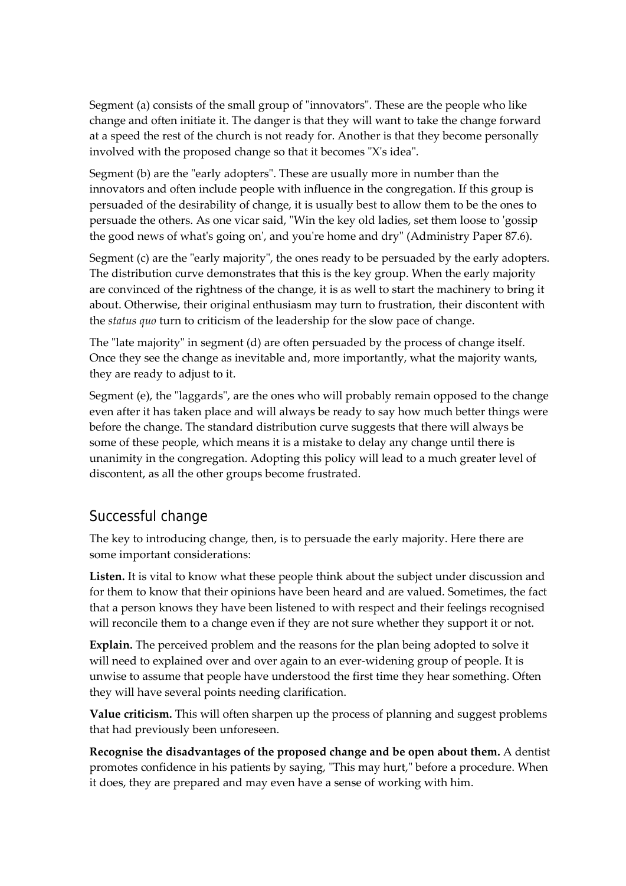Segment (a) consists of the small group of "innovators". These are the people who like change and often initiate it. The danger is that they will want to take the change forward at a speed the rest of the church is not ready for. Another is that they become personally involved with the proposed change so that it becomes "X's idea".

Segment (b) are the "early adopters". These are usually more in number than the innovators and often include people with influence in the congregation. If this group is persuaded of the desirability of change, it is usually best to allow them to be the ones to persuade the others. As one vicar said, "Win the key old ladies, set them loose to 'gossip the good news of what's going on', and you're home and dry" (Administry Paper 87.6).

Segment (c) are the "early majority", the ones ready to be persuaded by the early adopters. The distribution curve demonstrates that this is the key group. When the early majority are convinced of the rightness of the change, it is as well to start the machinery to bring it about. Otherwise, their original enthusiasm may turn to frustration, their discontent with the *status quo* turn to criticism of the leadership for the slow pace of change.

The "late majority" in segment  $(d)$  are often persuaded by the process of change itself. Once they see the change as inevitable and, more importantly, what the majority wants, they are ready to adjust to it.

Segment (e), the "laggards", are the ones who will probably remain opposed to the change even after it has taken place and will always be ready to say how much better things were before the change. The standard distribution curve suggests that there will always be some of these people, which means it is a mistake to delay any change until there is unanimity in the congregation. Adopting this policy will lead to a much greater level of discontent, as all the other groups become frustrated.

## Successful change

The key to introducing change, then, is to persuade the early majority. Here there are some important considerations:

**Listen.** It is vital to know what these people think about the subject under discussion and for them to know that their opinions have been heard and are valued. Sometimes, the fact that a person knows they have been listened to with respect and their feelings recognised will reconcile them to a change even if they are not sure whether they support it or not.

**Explain.** The perceived problem and the reasons for the plan being adopted to solve it will need to explained over and over again to an ever-widening group of people. It is unwise to assume that people have understood the first time they hear something. Often they will have several points needing clarification.

**Value criticism.** This will often sharpen up the process of planning and suggest problems that had previously been unforeseen.

**Recognise the disadvantages of the proposed change and be open about them.** A dentist promotes confidence in his patients by saying, "This may hurt," before a procedure. When it does, they are prepared and may even have a sense of working with him.